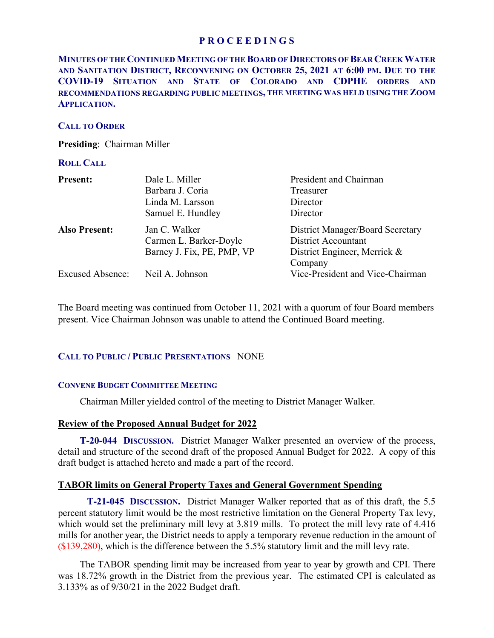# **P R O C E E D I N G S**

# **MINUTES OF THE CONTINUED MEETING OF THE BOARD OF DIRECTORS OF BEAR CREEK WATER AND SANITATION DISTRICT, RECONVENING ON OCTOBER 25, 2021 AT 6:00 PM. DUE TO THE COVID-19 SITUATION AND STATE OF COLORADO AND CDPHE ORDERS AND RECOMMENDATIONS REGARDING PUBLIC MEETINGS, THE MEETING WAS HELD USING THE ZOOM APPLICATION.**

### **CALL TO ORDER**

**Presiding**: Chairman Miller

#### **ROLL CALL**

| <b>Present:</b>         | Dale L. Miller             | President and Chairman                  |
|-------------------------|----------------------------|-----------------------------------------|
|                         | Barbara J. Coria           | Treasurer                               |
|                         | Linda M. Larsson           | Director                                |
|                         | Samuel E. Hundley          | Director                                |
| <b>Also Present:</b>    | Jan C. Walker              | <b>District Manager/Board Secretary</b> |
|                         | Carmen L. Barker-Doyle     | <b>District Accountant</b>              |
|                         | Barney J. Fix, PE, PMP, VP | District Engineer, Merrick &            |
|                         |                            | Company                                 |
| <b>Excused Absence:</b> | Neil A. Johnson            | Vice-President and Vice-Chairman        |

The Board meeting was continued from October 11, 2021 with a quorum of four Board members present. Vice Chairman Johnson was unable to attend the Continued Board meeting.

# **CALL TO PUBLIC / PUBLIC PRESENTATIONS** NONE

# **CONVENE BUDGET COMMITTEE MEETING**

Chairman Miller yielded control of the meeting to District Manager Walker.

#### **Review of the Proposed Annual Budget for 2022**

**T-20-044 DISCUSSION.** District Manager Walker presented an overview of the process, detail and structure of the second draft of the proposed Annual Budget for 2022. A copy of this draft budget is attached hereto and made a part of the record.

# **TABOR limits on General Property Taxes and General Government Spending**

 **T-21-045 DISCUSSION.** District Manager Walker reported that as of this draft, the 5.5 percent statutory limit would be the most restrictive limitation on the General Property Tax levy, which would set the preliminary mill levy at 3.819 mills. To protect the mill levy rate of 4.416 mills for another year, the District needs to apply a temporary revenue reduction in the amount of (\$139,280), which is the difference between the 5.5% statutory limit and the mill levy rate.

 The TABOR spending limit may be increased from year to year by growth and CPI. There was 18.72% growth in the District from the previous year. The estimated CPI is calculated as 3.133% as of 9/30/21 in the 2022 Budget draft.